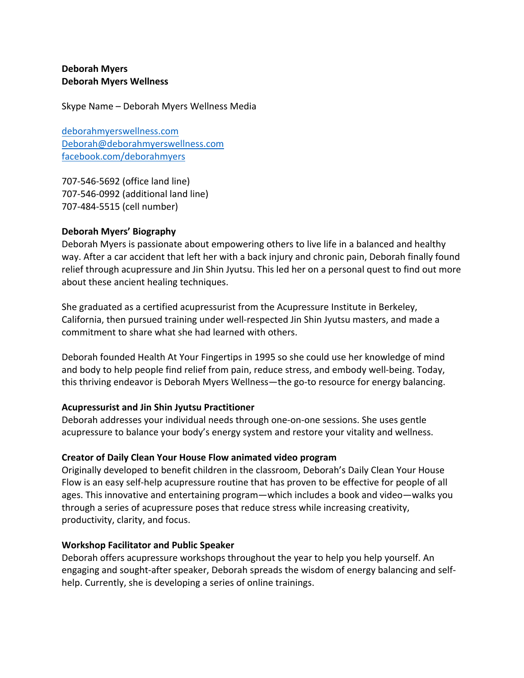## **Deborah Myers Deborah Myers Wellness**

Skype Name – Deborah Myers Wellness Media

deborahmyerswellness.com Deborah@deborahmyerswellness.com facebook.com/deborahmyers

707-546-5692 (office land line) 707-546-0992 (additional land line) 707-484-5515 (cell number)

## **Deborah Myers' Biography**

Deborah Myers is passionate about empowering others to live life in a balanced and healthy way. After a car accident that left her with a back injury and chronic pain, Deborah finally found relief through acupressure and Jin Shin Jyutsu. This led her on a personal quest to find out more about these ancient healing techniques.

She graduated as a certified acupressurist from the Acupressure Institute in Berkeley, California, then pursued training under well-respected Jin Shin Jyutsu masters, and made a commitment to share what she had learned with others.

Deborah founded Health At Your Fingertips in 1995 so she could use her knowledge of mind and body to help people find relief from pain, reduce stress, and embody well-being. Today, this thriving endeavor is Deborah Myers Wellness—the go-to resource for energy balancing.

# **Acupressurist and Jin Shin Jyutsu Practitioner**

Deborah addresses your individual needs through one-on-one sessions. She uses gentle acupressure to balance your body's energy system and restore your vitality and wellness.

# **Creator of Daily Clean Your House Flow animated video program**

Originally developed to benefit children in the classroom, Deborah's Daily Clean Your House Flow is an easy self-help acupressure routine that has proven to be effective for people of all ages. This innovative and entertaining program—which includes a book and video—walks you through a series of acupressure poses that reduce stress while increasing creativity, productivity, clarity, and focus.

## **Workshop Facilitator and Public Speaker**

Deborah offers acupressure workshops throughout the year to help you help yourself. An engaging and sought-after speaker, Deborah spreads the wisdom of energy balancing and selfhelp. Currently, she is developing a series of online trainings.